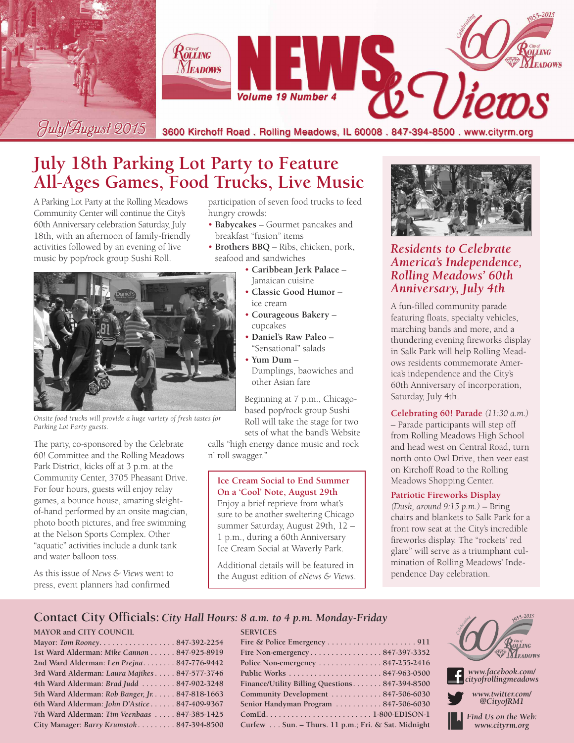

## **July 18th Parking Lot Party to Feature All-Ages Games, Food Trucks, Live Music**

A Parking Lot Party at the Rolling Meadows Community Center will continue the City's 60th Anniversary celebration Saturday, July 18th, with an afternoon of family-friendly activities followed by an evening of live music by pop/rock group Sushi Roll.

participation of seven food trucks to feed hungry crowds:

- **Babycakes** Gourmet pancakes and breakfast "fusion" items
- **Brothers BBQ** Ribs, chicken, pork, seafood and sandwiches
	- **Caribbean Jerk Palace** Jamaican cuisine
	- **Classic Good Humor** ice cream
	- **Courageous Bakery** cupcakes
	- **Daniel's Raw Paleo** "Sensational" salads
	- $\cdot$  Yum Dum  $-$ Dumplings, baowiches and other Asian fare

Beginning at 7 p.m., Chicagobased pop/rock group Sushi Roll will take the stage for two sets of what the band's Website

calls "high energy dance music and rock n' roll swagger."

**Ice Cream Social to End Summer On a 'Cool' Note, August 29th** Enjoy a brief reprieve from what's sure to be another sweltering Chicago summer Saturday, August 29th, 12 – 1 p.m., during a 60th Anniversary Ice Cream Social at Waverly Park.

Additional details will be featured in the August edition of *eNews & Views*.



### *Residents to Celebrate America's Independence, Rolling Meadows' 60th Anniversary, July 4th*

A fun-filled community parade featuring floats, specialty vehicles, marching bands and more, and a thundering evening fireworks display in Salk Park will help Rolling Meadows residents commemorate America's independence and the City's 60th Anniversary of incorporation, Saturday, July 4th.

**Celebrating 60! Parade** *(11:30 a.m.)* – Parade participants will step off from Rolling Meadows High School and head west on Central Road, turn north onto Owl Drive, then veer east on Kirchoff Road to the Rolling Meadows Shopping Center.

#### **Patriotic Fireworks Display**

*(Dusk, around 9:15 p.m.)* – Bring chairs and blankets to Salk Park for a front row seat at the City's incredible fireworks display. The "rockets' red glare" will serve as a triumphant culmination of Rolling Meadows' Independence Day celebration.

### **Contact City Officials:** *City Hall Hours: 8 a.m. to 4 p.m. Monday-Friday*

#### **MAYOR and CITY COUNCIL**

**Mayor:** *Tom Rooney***. . . . . . . . . . . . . . . . . . 847-392-2254 1st Ward Alderman:** *Mike Cannon* **. . . . . . 847-925-8919 2nd Ward Alderman:** *Len Prejna. . . . . . . .* **847-776-9442 3rd Ward Alderman:** *Laura Majikes***. . . . . 847-577-3746 4th Ward Alderman:** *Brad Judd* **. . . . . . . . 847-902-3248 5th Ward Alderman:** *Rob Banger, Jr.* **. . . . . 847-818-1663 6th Ward Alderman:** *John D'Astice* **. . . . . . 847-409-9367 7th Ward Alderman:** *Tim Veenbaas* **. . . . . 847-385-1425 City Manager:** *Barry Krumstok* **. . . . . . . . . 847-394-8500**

|  |  | $\mathcal{C}$ EDVICE $\mathcal{C}$ |  |  |
|--|--|------------------------------------|--|--|

| <b>SERVICES</b>                                    |
|----------------------------------------------------|
|                                                    |
| Fire Non-emergency847-397-3352                     |
| Police Non-emergency 847-255-2416                  |
|                                                    |
| Finance/Utility Billing Questions847-394-8500      |
| Community Development 847-506-6030                 |
| Senior Handyman Program  847-506-6030              |
|                                                    |
| Curfew Sun. - Thurs. 11 p.m.; Fri. & Sat. Midnight |



*Find Us on the Web: www.cityrm.org*

*Onsite food trucks will provide a huge variety of fresh tastes for Parking Lot Party guests.*

The party, co-sponsored by the Celebrate 60! Committee and the Rolling Meadows Park District, kicks off at 3 p.m. at the Community Center, 3705 Pheasant Drive. For four hours, guests will enjoy relay games, a bounce house, amazing sleightof-hand performed by an onsite magician, photo booth pictures, and free swimming at the Nelson Sports Complex. Other "aquatic" activities include a dunk tank and water balloon toss.

As this issue of *News & Views* went to press, event planners had confirmed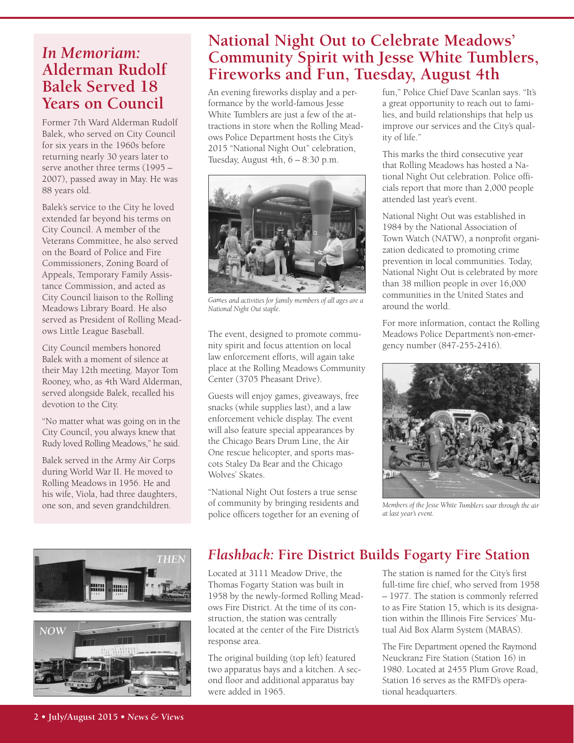### *In Memoriam:* **Alderman Rudolf Balek Served 18 Years on Council**

Former 7th Ward Alderman Rudolf Balek, who served on City Council for six years in the 1960s before returning nearly 30 years later to serve another three terms (1995 – 2007), passed away in May. He was 88 years old.

Balek's service to the City he loved extended far beyond his terms on City Council. A member of the Veterans Committee, he also served on the Board of Police and Fire Commissioners, Zoning Board of Appeals, Temporary Family Assistance Commission, and acted as City Council liaison to the Rolling Meadows Library Board. He also served as President of Rolling Meadows Little League Baseball.

City Council members honored Balek with a moment of silence at their May 12th meeting. Mayor Tom Rooney, who, as 4th Ward Alderman, served alongside Balek, recalled his devotion to the City.

"No matter what was going on in the City Council, you always knew that Rudy loved Rolling Meadows," he said.

Balek served in the Army Air Corps during World War II. He moved to Rolling Meadows in 1956. He and his wife, Viola, had three daughters, one son, and seven grandchildren.



### **National Night Out to Celebrate Meadows' Community Spirit with Jesse White Tumblers, Fireworks and Fun, Tuesday, August 4th**

An evening fireworks display and a performance by the world-famous Jesse White Tumblers are just a few of the attractions in store when the Rolling Meadows Police Department hosts the City's 2015 "National Night Out" celebration, Tuesday, August 4th, 6 – 8:30 p.m.



*Games and activities for family members of all ages are <sup>a</sup> National Night Out staple.*

The event, designed to promote community spirit and focus attention on local law enforcement efforts, will again take place at the Rolling Meadows Community Center (3705 Pheasant Drive).

Guests will enjoy games, giveaways, free snacks (while supplies last), and a law enforcement vehicle display. The event will also feature special appearances by the Chicago Bears Drum Line, the Air One rescue helicopter, and sports mascots Staley Da Bear and the Chicago Wolves' Skates.

"National Night Out fosters a true sense of community by bringing residents and police officers together for an evening of fun," Police Chief Dave Scanlan says. "It's a great opportunity to reach out to families, and build relationships that help us improve our services and the City's quality of life."

This marks the third consecutive year that Rolling Meadows has hosted a National Night Out celebration. Police officials report that more than 2,000 people attended last year's event.

National Night Out was established in 1984 by the National Association of Town Watch (NATW), a nonprofit organization dedicated to promoting crime prevention in local communities. Today, National Night Out is celebrated by more than 38 million people in over 16,000 communities in the United States and around the world.

For more information, contact the Rolling Meadows Police Department's non-emergency number (847-255-2416).



*Members of the Jesse White Tumblers soar through the air at last year's event.*

### *Flashback:* **Fire District Builds Fogarty Fire Station**

Located at 3111 Meadow Drive, the Thomas Fogarty Station was built in 1958 by the newly-formed Rolling Meadows Fire District. At the time of its construction, the station was centrally located at the center of the Fire District's response area.

The original building (top left) featured two apparatus bays and a kitchen. A second floor and additional apparatus bay were added in 1965.

The station is named for the City's first full-time fire chief, who served from 1958 – 1977. The station is commonly referred to as Fire Station 15, which is its designation within the Illinois Fire Services' Mutual Aid Box Alarm System (MABAS).

The Fire Department opened the Raymond Neuckranz Fire Station (Station 16) in 1980. Located at 2455 Plum Grove Road, Station 16 serves as the RMFD's operational headquarters.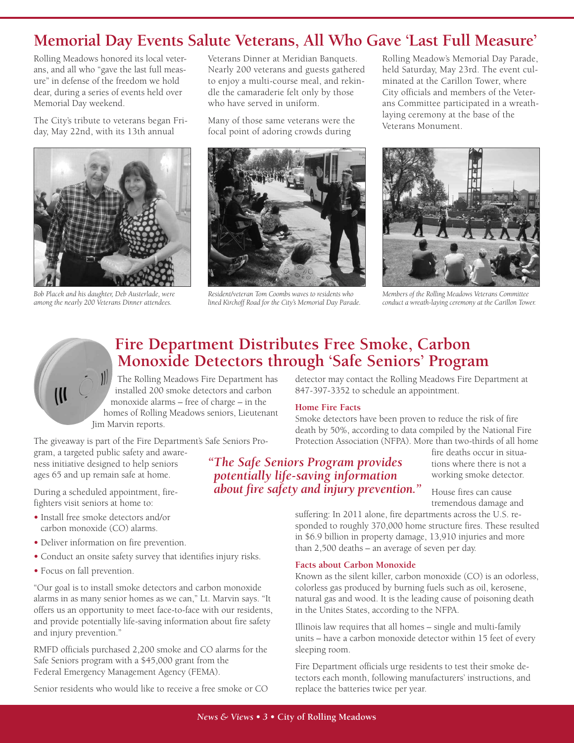### **Memorial Day Events Salute Veterans, All Who Gave 'Last Full Measure'**

Rolling Meadows honored its local veterans, and all who "gave the last full measure" in defense of the freedom we hold dear, during a series of events held over Memorial Day weekend.

The City's tribute to veterans began Friday, May 22nd, with its 13th annual



*Bob Placek and his daughter, Deb Austerlade, were among the nearly 200 Veterans Dinner attendees.*

Veterans Dinner at Meridian Banquets. Nearly 200 veterans and guests gathered to enjoy a multi-course meal, and rekindle the camaraderie felt only by those who have served in uniform.

Many of those same veterans were the focal point of adoring crowds during



*Resident/veteran Tom Coombs waves to residents who lined Kirchoff Road for the City's Memorial Day Parade.*

Rolling Meadow's Memorial Day Parade, held Saturday, May 23rd. The event culminated at the Carillon Tower, where City officials and members of the Veterans Committee participated in a wreathlaying ceremony at the base of the Veterans Monument.



*Members of the Rolling Meadows Veterans Committee conduct <sup>a</sup> wreath-laying ceremony at the Carillon Tower.*

### **Fire Department Distributes Free Smoke, Carbon Monoxide Detectors through 'Safe Seniors' Program**

The Rolling Meadows Fire Department has installed 200 smoke detectors and carbon monoxide alarms – free of charge – in the homes of Rolling Meadows seniors, Lieutenant Jim Marvin reports.

The giveaway is part of the Fire Department's Safe Seniors Pro-

gram, a targeted public safety and awareness initiative designed to help seniors ages 65 and up remain safe at home.

During a scheduled appointment, firefighters visit seniors at home to:

- **•** Install free smoke detectors and/or carbon monoxide (CO) alarms.
- **•** Deliver information on fire prevention.
- **•** Conduct an onsite safety survey that identifies injury risks.
- **•** Focus on fall prevention.

"Our goal is to install smoke detectors and carbon monoxide alarms in as many senior homes as we can," Lt. Marvin says. "It offers us an opportunity to meet face-to-face with our residents, and provide potentially life-saving information about fire safety and injury prevention."

RMFD officials purchased 2,200 smoke and CO alarms for the Safe Seniors program with a \$45,000 grant from the Federal Emergency Management Agency (FEMA).

Senior residents who would like to receive a free smoke or CO

detector may contact the Rolling Meadows Fire Department at 847-397-3352 to schedule an appointment.

#### **Home Fire Facts**

Smoke detectors have been proven to reduce the risk of fire death by 50%, according to data compiled by the National Fire Protection Association (NFPA). More than two-thirds of all home

*"The Safe Seniors Program provides potentially life-saving information about fire safety and injury prevention."* fire deaths occur in situations where there is not a working smoke detector.

House fires can cause tremendous damage and

suffering: In 2011 alone, fire departments across the U.S. responded to roughly 370,000 home structure fires. These resulted in \$6.9 billion in property damage, 13,910 injuries and more than 2,500 deaths – an average of seven per day.

#### **Facts about Carbon Monoxide**

Known as the silent killer, carbon monoxide (CO) is an odorless, colorless gas produced by burning fuels such as oil, kerosene, natural gas and wood. It is the leading cause of poisoning death in the Unites States, according to the NFPA.

Illinois law requires that all homes – single and multi-family units – have a carbon monoxide detector within 15 feet of every sleeping room.

Fire Department officials urge residents to test their smoke detectors each month, following manufacturers' instructions, and replace the batteries twice per year.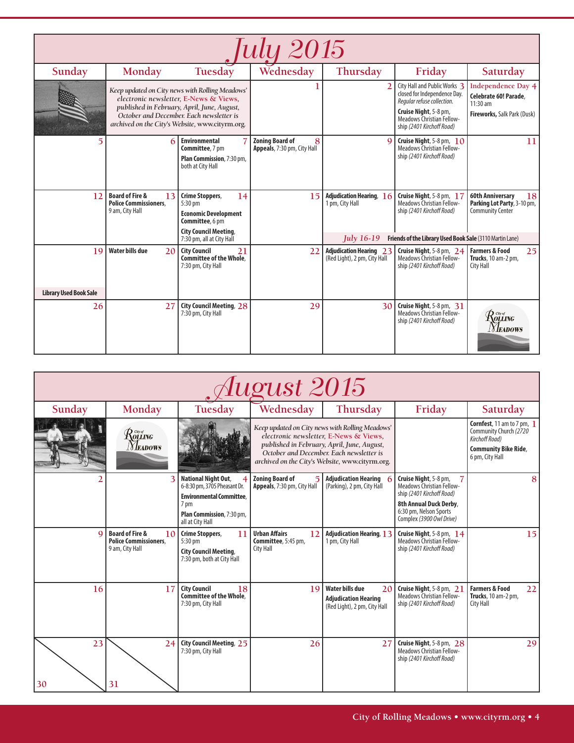| 'uly 2015                           |                                                                                     |                                                                                                                                                                                                                                         |                                                            |                                                                  |                                                                                                                                                                               |                                                                                                 |  |  |
|-------------------------------------|-------------------------------------------------------------------------------------|-----------------------------------------------------------------------------------------------------------------------------------------------------------------------------------------------------------------------------------------|------------------------------------------------------------|------------------------------------------------------------------|-------------------------------------------------------------------------------------------------------------------------------------------------------------------------------|-------------------------------------------------------------------------------------------------|--|--|
| Sunday                              | Monday                                                                              | Tuesday                                                                                                                                                                                                                                 | Wednesday                                                  | Thursday                                                         | Friday                                                                                                                                                                        | Saturday                                                                                        |  |  |
|                                     |                                                                                     | Keep updated on City news with Rolling Meadows'<br>electronic newsletter, E-News & Views,<br>published in February, April, June, August,<br>October and December. Each newsletter is<br>archived on the City's Website, www.cityrm.org. |                                                            | $\overline{2}$                                                   | City Hall and Public Works 3<br>closed for Independence Day.<br>Regular refuse collection.<br>Cruise Night, 5-8 pm,<br>Meadows Christian Fellow-<br>ship (2401 Kirchoff Road) | <b>Independence Day 4</b><br>Celebrate 60! Parade.<br>$11:30$ am<br>Fireworks, Salk Park (Dusk) |  |  |
|                                     | 6                                                                                   | <b>Environmental</b><br>Committee, 7 pm<br>Plan Commission, 7:30 pm,<br>both at City Hall                                                                                                                                               | <b>Zoning Board of</b><br>8<br>Appeals, 7:30 pm, City Hall | $\Omega$                                                         | Cruise Night, 5-8 pm, 10<br>Meadows Christian Fellow-<br>ship (2401 Kirchoff Road)                                                                                            | 11                                                                                              |  |  |
| 12                                  | <b>Board of Fire &amp;</b><br>13<br><b>Police Commissioners.</b><br>9 am, City Hall | <b>Crime Stoppers,</b><br>14<br>5:30 pm<br><b>Economic Development</b><br>Committee, 6 pm<br><b>City Council Meeting,</b><br>7:30 pm, all at City Hall                                                                                  | 15                                                         | Adjudication Hearing, 16<br>1 pm, City Hall<br><b>Iuly</b> 16-19 | Cruise Night, 5-8 pm, 17<br><b>Meadows Christian Fellow-</b><br>ship (2401 Kirchoff Road)<br>Friends of the Library Used Book Sale (3110 Martin Lane)                         | <b>60th Anniversary</b><br>18<br>Parking Lot Party, 3-10 pm,<br><b>Community Center</b>         |  |  |
| 19<br><b>Library Used Book Sale</b> | <b>Water bills due</b><br>20                                                        | <b>City Council</b><br>21<br>Committee of the Whole.<br>7:30 pm, City Hall                                                                                                                                                              | 22                                                         | <b>Adjudication Hearing 23</b><br>(Red Light), 2 pm, City Hall   | Cruise Night, 5-8 pm, 24<br>Meadows Christian Fellow-<br>ship (2401 Kirchoff Road)                                                                                            | <b>Farmers &amp; Food</b><br>251<br>Trucks, 10 am-2 pm,<br>City Hall                            |  |  |
| 26                                  | 27                                                                                  | <b>City Council Meeting, 28</b><br>7:30 pm, City Hall                                                                                                                                                                                   | 29                                                         | 30                                                               | Cruise Night, 5-8 pm, 31<br><b>Meadows Christian Fellow-</b><br>ship (2401 Kirchoff Road)                                                                                     | $\mathcal{R}$ oling<br><i>Neadows</i>                                                           |  |  |

| August 2015 |                                                                                     |                                                                                                                                                        |                                                                                                                                                                                                                                         |                                                                                             |                                                                                                                                                                        |                                                                                                                                  |  |
|-------------|-------------------------------------------------------------------------------------|--------------------------------------------------------------------------------------------------------------------------------------------------------|-----------------------------------------------------------------------------------------------------------------------------------------------------------------------------------------------------------------------------------------|---------------------------------------------------------------------------------------------|------------------------------------------------------------------------------------------------------------------------------------------------------------------------|----------------------------------------------------------------------------------------------------------------------------------|--|
| Sunday      | Monday                                                                              | Tuesday                                                                                                                                                | Wednesday                                                                                                                                                                                                                               | Thursday                                                                                    | Friday                                                                                                                                                                 | Saturday                                                                                                                         |  |
|             | $\mathcal{R}$ olling<br><b>NEADOWS</b>                                              |                                                                                                                                                        | Keep updated on City news with Rolling Meadows'<br>electronic newsletter, E-News & Views,<br>published in February, April, June, August,<br>October and December. Each newsletter is<br>archived on the City's Website, www.cityrm.org. |                                                                                             |                                                                                                                                                                        | <b>Cornfest</b> , 11 am to 7 pm, 1<br>Community Church (2720<br>Kirchoff Road)<br><b>Community Bike Ride,</b><br>6 pm, City Hall |  |
|             | 3                                                                                   | <b>National Night Out,</b><br>6-8:30 pm, 3705 Pheasant Dr.<br><b>Environmental Committee.</b><br>7 pm<br>Plan Commission, 7:30 pm,<br>all at City Hall | <b>Zoning Board of</b><br>Appeals, 7:30 pm, City Hall                                                                                                                                                                                   | <b>Adjudication Hearing</b><br>(Parking), 2 pm, City Hall                                   | Cruise Night, 5-8 pm,<br><b>Meadows Christian Fellow-</b><br>ship (2401 Kirchoff Road)<br>8th Annual Duck Derby.<br>6:30 pm, Nelson Sports<br>Complex (3900 Owl Drive) | 8                                                                                                                                |  |
|             | <b>Board of Fire &amp;</b><br>10<br><b>Police Commissioners.</b><br>9 am, City Hall | <b>Crime Stoppers,</b><br>11<br>5:30 pm<br><b>City Council Meeting,</b><br>7:30 pm, both at City Hall                                                  | <b>Urban Affairs</b><br>12<br>Committee, 5:45 pm,<br>City Hall                                                                                                                                                                          | Adjudication Hearing, 13<br>1 pm, City Hall                                                 | Cruise Night, 5-8 pm, 14<br><b>Meadows Christian Fellow-</b><br>ship (2401 Kirchoff Road)                                                                              | 15                                                                                                                               |  |
| 16          | 17                                                                                  | <b>City Council</b><br>18<br><b>Committee of the Whole.</b><br>7:30 pm, City Hall                                                                      | 19                                                                                                                                                                                                                                      | <b>Water bills due</b><br>20<br><b>Adjudication Hearing</b><br>(Red Light), 2 pm, City Hall | Cruise Night, 5-8 pm, 21<br><b>Meadows Christian Fellow-</b><br>ship (2401 Kirchoff Road)                                                                              | <b>Farmers &amp; Food</b><br>22<br><b>Trucks</b> , 10 am-2 pm,<br>City Hall                                                      |  |
| 23<br>30    | 24<br>31                                                                            | City Council Meeting, 25<br>7:30 pm, City Hall                                                                                                         | 26                                                                                                                                                                                                                                      | 27                                                                                          | Cruise Night, 5-8 pm, 28<br><b>Meadows Christian Fellow-</b><br>ship (2401 Kirchoff Road)                                                                              | 29                                                                                                                               |  |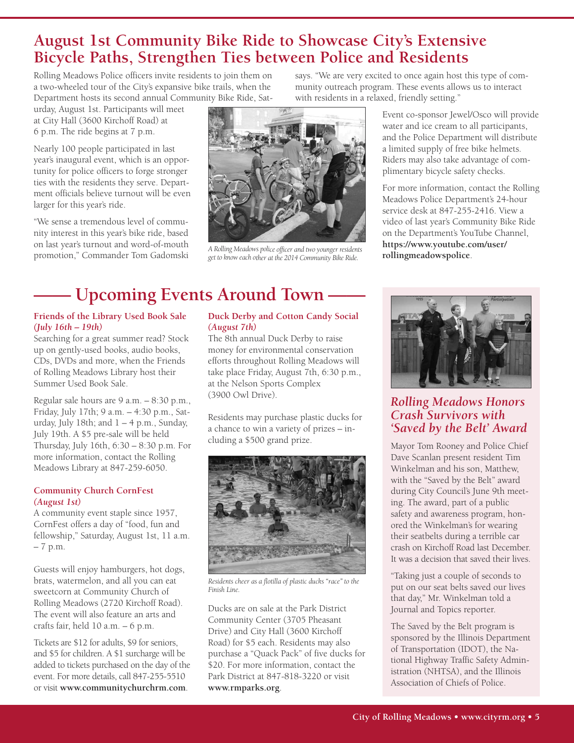### **August 1st Community Bike Ride to Showcase City's Extensive Bicycle Paths, Strengthen Ties between Police and Residents**

Rolling Meadows Police officers invite residents to join them on a two-wheeled tour of the City's expansive bike trails, when the Department hosts its second annual Community Bike Ride, Sat-

urday, August 1st. Participants will meet at City Hall (3600 Kirchoff Road) at 6 p.m. The ride begins at 7 p.m.

Nearly 100 people participated in last year's inaugural event, which is an opportunity for police officers to forge stronger ties with the residents they serve. Department officials believe turnout will be even larger for this year's ride.

"We sense a tremendous level of community interest in this year's bike ride, based on last year's turnout and word-of-mouth promotion," Commander Tom Gadomski



A Rolling Meadows police officer and two younger residents<br>get to know each other at the 2014 Community Bike Ride. **The rollingmeadowspolice**.

# **—— Upcoming Events Around Town ——**

#### **Friends of the Library Used Book Sale** *(July 16th – 19th)*

Searching for a great summer read? Stock up on gently-used books, audio books, CDs, DVDs and more, when the Friends of Rolling Meadows Library host their Summer Used Book Sale.

Regular sale hours are 9 a.m. – 8:30 p.m., Friday, July 17th; 9 a.m. – 4:30 p.m., Saturday, July 18th; and  $1 - 4$  p.m., Sunday, July 19th. A \$5 pre-sale will be held Thursday, July 16th, 6:30 – 8:30 p.m. For more information, contact the Rolling Meadows Library at 847-259-6050.

#### **Community Church CornFest** *(August 1st)*

A community event staple since 1957, CornFest offers a day of "food, fun and fellowship," Saturday, August 1st, 11 a.m. – 7 p.m.

Guests will enjoy hamburgers, hot dogs, brats, watermelon, and all you can eat sweetcorn at Community Church of Rolling Meadows (2720 Kirchoff Road). The event will also feature an arts and crafts fair, held 10 a.m. – 6 p.m.

Tickets are \$12 for adults, \$9 for seniors, and \$5 for children. A \$1 surcharge will be added to tickets purchased on the day of the event. For more details, call 847-255-5510 or visit **www.communitychurchrm.com**.

### **Duck Derby and Cotton Candy Social** *(August 7th)*

The 8th annual Duck Derby to raise money for environmental conservation efforts throughout Rolling Meadows will take place Friday, August 7th, 6:30 p.m., at the Nelson Sports Complex (3900 Owl Drive).

Residents may purchase plastic ducks for a chance to win a variety of prizes – including a \$500 grand prize.



*Residents cheer as <sup>a</sup> flotilla of plastic ducks "race" to the Finish Line.*

Ducks are on sale at the Park District Community Center (3705 Pheasant Drive) and City Hall (3600 Kirchoff Road) for \$5 each. Residents may also purchase a "Quack Pack" of five ducks for \$20. For more information, contact the Park District at 847-818-3220 or visit **www.rmparks.org**.

says. "We are very excited to once again host this type of community outreach program. These events allows us to interact with residents in a relaxed, friendly setting."

> Event co-sponsor Jewel/Osco will provide water and ice cream to all participants, and the Police Department will distribute a limited supply of free bike helmets. Riders may also take advantage of complimentary bicycle safety checks.

> For more information, contact the Rolling Meadows Police Department's 24-hour service desk at 847-255-2416. View a video of last year's Community Bike Ride on the Department's YouTube Channel, **https://www.youtube.com/user/**



*Rolling Meadows Honors Crash Survivors with 'Saved by the Belt' Award*

Mayor Tom Rooney and Police Chief Dave Scanlan present resident Tim Winkelman and his son, Matthew, with the "Saved by the Belt" award during City Council's June 9th meeting. The award, part of a public safety and awareness program, honored the Winkelman's for wearing their seatbelts during a terrible car crash on Kirchoff Road last December. It was a decision that saved their lives.

"Taking just a couple of seconds to put on our seat belts saved our lives that day," Mr. Winkelman told a Journal and Topics reporter.

The Saved by the Belt program is sponsored by the Illinois Department of Transportation (IDOT), the National Highway Traffic Safety Administration (NHTSA), and the Illinois Association of Chiefs of Police.